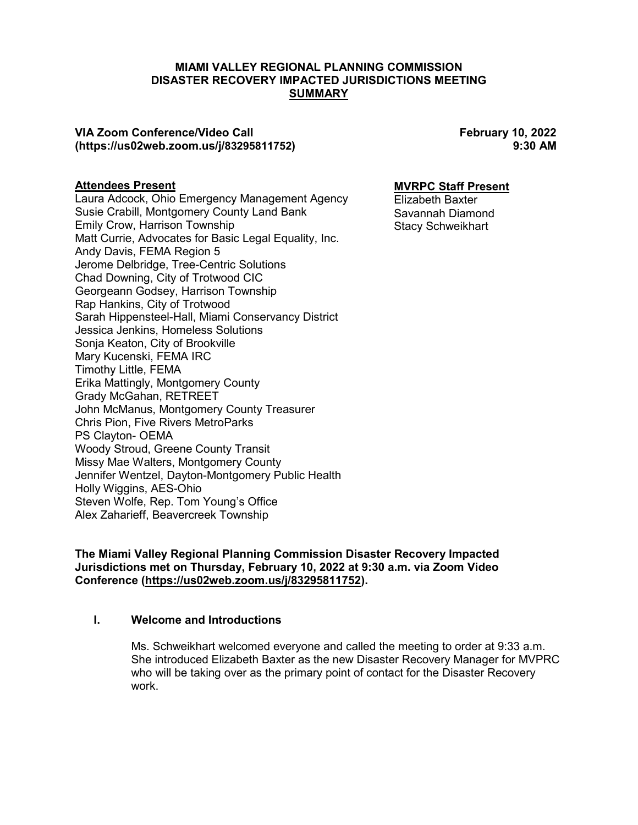### **MIAMI VALLEY REGIONAL PLANNING COMMISSION DISASTER RECOVERY IMPACTED JURISDICTIONS MEETING SUMMARY**

### **VIA Zoom Conference/Video Call February 10, 2022 (https://us02web.zoom.us/j/83295811752) 9:30 AM**

### **Attendees Present**

Laura Adcock, Ohio Emergency Management Agency Susie Crabill, Montgomery County Land Bank Emily Crow, Harrison Township Matt Currie, Advocates for Basic Legal Equality, Inc. Andy Davis, FEMA Region 5 Jerome Delbridge, Tree-Centric Solutions Chad Downing, City of Trotwood CIC Georgeann Godsey, Harrison Township Rap Hankins, City of Trotwood Sarah Hippensteel-Hall, Miami Conservancy District Jessica Jenkins, Homeless Solutions Sonja Keaton, City of Brookville Mary Kucenski, FEMA IRC Timothy Little, FEMA Erika Mattingly, Montgomery County Grady McGahan, RETREET John McManus, Montgomery County Treasurer Chris Pion, Five Rivers MetroParks PS Clayton- OEMA Woody Stroud, Greene County Transit Missy Mae Walters, Montgomery County Jennifer Wentzel, Dayton-Montgomery Public Health Holly Wiggins, AES-Ohio Steven Wolfe, Rep. Tom Young's Office Alex Zaharieff, Beavercreek Township

### **MVRPC Staff Present**

Elizabeth Baxter Savannah Diamond Stacy Schweikhart

**The Miami Valley Regional Planning Commission Disaster Recovery Impacted Jurisdictions met on Thursday, February 10, 2022 at 9:30 a.m. via Zoom Video Conference (https://us02web.zoom.us/j/83295811752).** 

### **I. Welcome and Introductions**

Ms. Schweikhart welcomed everyone and called the meeting to order at 9:33 a.m. She introduced Elizabeth Baxter as the new Disaster Recovery Manager for MVPRC who will be taking over as the primary point of contact for the Disaster Recovery work.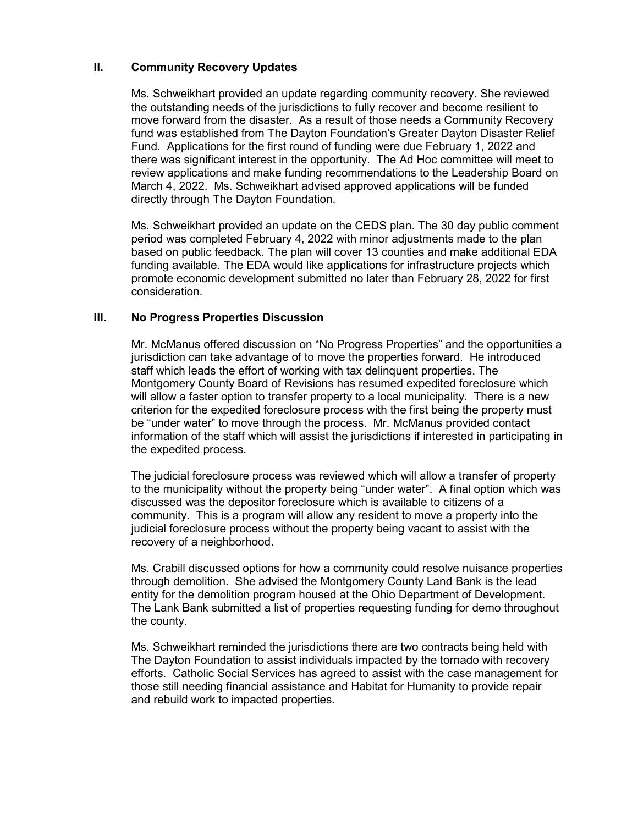# **II. Community Recovery Updates**

Ms. Schweikhart provided an update regarding community recovery. She reviewed the outstanding needs of the jurisdictions to fully recover and become resilient to move forward from the disaster. As a result of those needs a Community Recovery fund was established from The Dayton Foundation's Greater Dayton Disaster Relief Fund. Applications for the first round of funding were due February 1, 2022 and there was significant interest in the opportunity. The Ad Hoc committee will meet to review applications and make funding recommendations to the Leadership Board on March 4, 2022. Ms. Schweikhart advised approved applications will be funded directly through The Dayton Foundation.

Ms. Schweikhart provided an update on the CEDS plan. The 30 day public comment period was completed February 4, 2022 with minor adjustments made to the plan based on public feedback. The plan will cover 13 counties and make additional EDA funding available. The EDA would like applications for infrastructure projects which promote economic development submitted no later than February 28, 2022 for first consideration.

## **III. No Progress Properties Discussion**

Mr. McManus offered discussion on "No Progress Properties" and the opportunities a jurisdiction can take advantage of to move the properties forward. He introduced staff which leads the effort of working with tax delinquent properties. The Montgomery County Board of Revisions has resumed expedited foreclosure which will allow a faster option to transfer property to a local municipality. There is a new criterion for the expedited foreclosure process with the first being the property must be "under water" to move through the process. Mr. McManus provided contact information of the staff which will assist the jurisdictions if interested in participating in the expedited process.

The judicial foreclosure process was reviewed which will allow a transfer of property to the municipality without the property being "under water". A final option which was discussed was the depositor foreclosure which is available to citizens of a community. This is a program will allow any resident to move a property into the judicial foreclosure process without the property being vacant to assist with the recovery of a neighborhood.

Ms. Crabill discussed options for how a community could resolve nuisance properties through demolition. She advised the Montgomery County Land Bank is the lead entity for the demolition program housed at the Ohio Department of Development. The Lank Bank submitted a list of properties requesting funding for demo throughout the county.

Ms. Schweikhart reminded the jurisdictions there are two contracts being held with The Dayton Foundation to assist individuals impacted by the tornado with recovery efforts. Catholic Social Services has agreed to assist with the case management for those still needing financial assistance and Habitat for Humanity to provide repair and rebuild work to impacted properties.